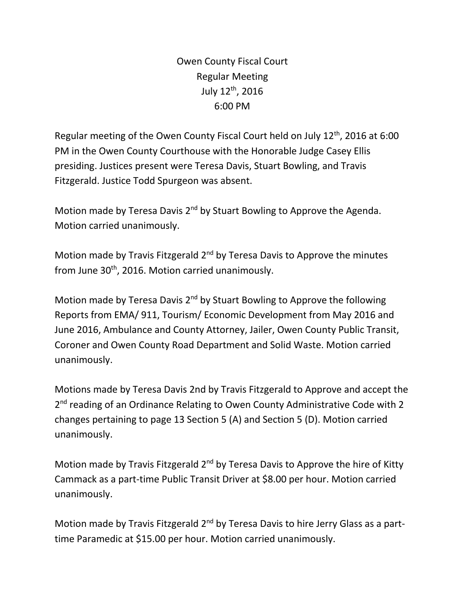Owen County Fiscal Court Regular Meeting July 12th, 2016 6:00 PM

Regular meeting of the Owen County Fiscal Court held on July 12th, 2016 at 6:00 PM in the Owen County Courthouse with the Honorable Judge Casey Ellis presiding. Justices present were Teresa Davis, Stuart Bowling, and Travis Fitzgerald. Justice Todd Spurgeon was absent.

Motion made by Teresa Davis 2<sup>nd</sup> by Stuart Bowling to Approve the Agenda. Motion carried unanimously.

Motion made by Travis Fitzgerald  $2<sup>nd</sup>$  by Teresa Davis to Approve the minutes from June 30<sup>th</sup>, 2016. Motion carried unanimously.

Motion made by Teresa Davis 2<sup>nd</sup> by Stuart Bowling to Approve the following Reports from EMA/ 911, Tourism/ Economic Development from May 2016 and June 2016, Ambulance and County Attorney, Jailer, Owen County Public Transit, Coroner and Owen County Road Department and Solid Waste. Motion carried unanimously.

Motions made by Teresa Davis 2nd by Travis Fitzgerald to Approve and accept the 2<sup>nd</sup> reading of an Ordinance Relating to Owen County Administrative Code with 2 changes pertaining to page 13 Section 5 (A) and Section 5 (D). Motion carried unanimously.

Motion made by Travis Fitzgerald  $2^{nd}$  by Teresa Davis to Approve the hire of Kitty Cammack as a part-time Public Transit Driver at \$8.00 per hour. Motion carried unanimously.

Motion made by Travis Fitzgerald 2<sup>nd</sup> by Teresa Davis to hire Jerry Glass as a parttime Paramedic at \$15.00 per hour. Motion carried unanimously.